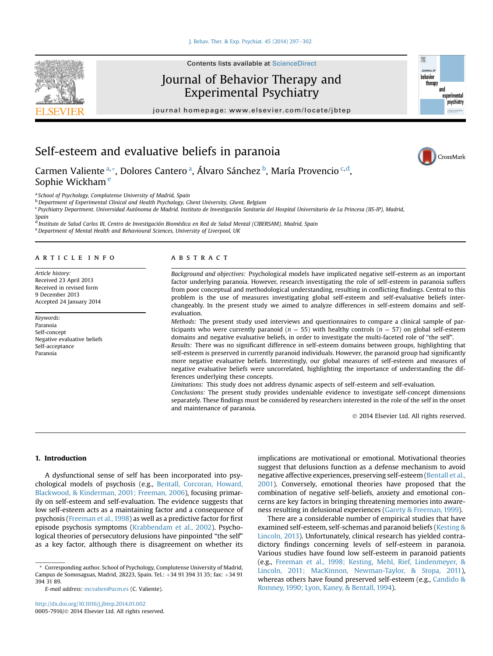[J. Behav. Ther. & Exp. Psychiat. 45 \(2014\) 297](http://dx.doi.org/10.1016/j.jbtep.2014.01.002)-[302](http://dx.doi.org/10.1016/j.jbtep.2014.01.002)



### Journal of Behavior Therapy and Experimental Psychiatry

journal homepage: [www.elsevier.com/locate/jbtep](http://www.elsevier.com/locate/jbtep)



CrossMark

## Self-esteem and evaluative beliefs in paranoia

Carmen Valiente <sup>a, «</sup>, Dolores Cantero <sup>a</sup>, Álvaro Sánchez <sup>b</sup>, María Provencio <sup>c, d</sup>, Sophie Wickham<sup>e</sup>

a School of Psychology, Complutense University of Madrid, Spain

**b** Department of Experimental Clinical and Health Psychology, Ghent University, Ghent, Belgium

<sup>c</sup> Psychiatry Department. Universidad Autónoma de Madrid. Instituto de Investigación Sanitaria del Hospital Universitario de La Princesa (IIS-IP), Madrid,

Spain

<sup>d</sup> Instituto de Salud Carlos III, Centro de Investigación Biomédica en Red de Salud Mental (CIBERSAM), Madrid, Spain

e Department of Mental Health and Behavioural Sciences, University of Liverpool, UK

#### article info

Article history: Received 23 April 2013 Received in revised form 9 December 2013 Accepted 24 January 2014

Keywords: Paranoia Self-concept Negative evaluative beliefs Self-acceptance Paranoia

#### **ABSTRACT**

Background and objectives: Psychological models have implicated negative self-esteem as an important factor underlying paranoia. However, research investigating the role of self-esteem in paranoia suffers from poor conceptual and methodological understanding, resulting in conflicting findings. Central to this problem is the use of measures investigating global self-esteem and self-evaluative beliefs interchangeably. In the present study we aimed to analyze differences in self-esteem domains and selfevaluation.

Methods: The present study used interviews and questionnaires to compare a clinical sample of participants who were currently paranoid ( $n = 55$ ) with healthy controls ( $n = 57$ ) on global self-esteem domains and negative evaluative beliefs, in order to investigate the multi-faceted role of "the self". Results: There was no significant difference in self-esteem domains between groups, highlighting that self-esteem is preserved in currently paranoid individuals. However, the paranoid group had significantly more negative evaluative beliefs. Interestingly, our global measures of self-esteem and measures of

negative evaluative beliefs were uncorrelated, highlighting the importance of understanding the differences underlying these concepts. Limitations: This study does not address dynamic aspects of self-esteem and self-evaluation.

Conclusions: The present study provides undeniable evidence to investigate self-concept dimensions separately. These findings must be considered by researchers interested in the role of the self in the onset and maintenance of paranoia.

2014 Elsevier Ltd. All rights reserved.

#### 1. Introduction

A dysfunctional sense of self has been incorporated into psychological models of psychosis (e.g., Bentall, Corcoran, Howard, Blackwood, & Kinderman, 2001; Freeman, 2006), focusing primarily on self-esteem and self-evaluation. The evidence suggests that low self-esteem acts as a maintaining factor and a consequence of psychosis (Freeman et al., 1998) as well as a predictive factor for first episode psychosis symptoms (Krabbendam et al., 2002). Psychological theories of persecutory delusions have pinpointed "the self" as a key factor, although there is disagreement on whether its

implications are motivational or emotional. Motivational theories suggest that delusions function as a defense mechanism to avoid negative affective experiences, preserving self-esteem (Bentall et al., 2001). Conversely, emotional theories have proposed that the combination of negative self-beliefs, anxiety and emotional concerns are key factors in bringing threatening memories into awareness resulting in delusional experiences (Garety & Freeman, 1999).

There are a considerable number of empirical studies that have examined self-esteem, self-schemas and paranoid beliefs (Kesting & Lincoln, 2013). Unfortunately, clinical research has yielded contradictory findings concerning levels of self-esteem in paranoia. Various studies have found low self-esteem in paranoid patients (e.g., Freeman et al., 1998; Kesting, Mehl, Rief, Lindenmeyer, & Lincoln, 2011; MacKinnon, Newman-Taylor, & Stopa, 2011), whereas others have found preserved self-esteem (e.g., Candido & Romney, 1990; Lyon, Kaney, & Bentall, 1994).

<sup>\*</sup> Corresponding author. School of Psychology, Complutense University of Madrid, Campus de Somosaguas, Madrid, 28223, Spain. Tel.: +34 91 394 31 35; fax: +34 91 394 31 89.

E-mail address: [mcvalien@ucm.es](mailto:mcvalien@ucm.es) (C. Valiente).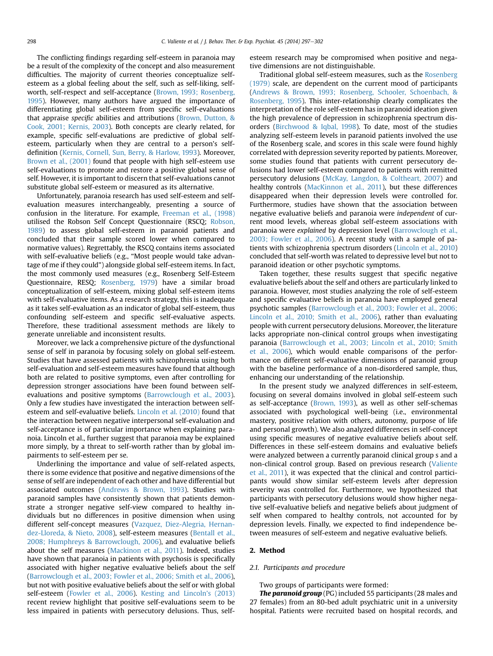The conflicting findings regarding self-esteem in paranoia may be a result of the complexity of the concept and also measurement difficulties. The majority of current theories conceptualize selfesteem as a global feeling about the self, such as self-liking, selfworth, self-respect and self-acceptance (Brown, 1993; Rosenberg, 1995). However, many authors have argued the importance of differentiating global self-esteem from specific self-evaluations that appraise specific abilities and attributions (Brown, Dutton, & Cook, 2001; Kernis, 2003). Both concepts are clearly related, for example, specific self-evaluations are predictive of global selfesteem, particularly when they are central to a person's selfdefinition (Kernis, Cornell, Sun, Berry, & Harlow, 1993). Moreover, Brown et al., (2001) found that people with high self-esteem use self-evaluations to promote and restore a positive global sense of self. However, it is important to discern that self-evaluations cannot substitute global self-esteem or measured as its alternative.

Unfortunately, paranoia research has used self-esteem and selfevaluation measures interchangeably, presenting a source of confusion in the literature. For example, Freeman et al., (1998) utilised the Robson Self Concept Questionnaire (RSCQ; Robson, 1989) to assess global self-esteem in paranoid patients and concluded that their sample scored lower when compared to normative values). Regrettably, the RSCQ contains items associated with self-evaluative beliefs (e.g., "Most people would take advantage of me if they could") alongside global self-esteem items. In fact, the most commonly used measures (e.g., Rosenberg Self-Esteem Questionnaire, RESQ; Rosenberg, 1979) have a similar broad conceptualization of self-esteem, mixing global self-esteem items with self-evaluative items. As a research strategy, this is inadequate as it takes self-evaluation as an indicator of global self-esteem, thus confounding self-esteem and specific self-evaluative aspects. Therefore, these traditional assessment methods are likely to generate unreliable and inconsistent results.

Moreover, we lack a comprehensive picture of the dysfunctional sense of self in paranoia by focusing solely on global self-esteem. Studies that have assessed patients with schizophrenia using both self-evaluation and self-esteem measures have found that although both are related to positive symptoms, even after controlling for depression stronger associations have been found between selfevaluations and positive symptoms (Barrowclough et al., 2003). Only a few studies have investigated the interaction between selfesteem and self-evaluative beliefs. Lincoln et al. (2010) found that the interaction between negative interpersonal self-evaluation and self-acceptance is of particular importance when explaining paranoia. Lincoln et al., further suggest that paranoia may be explained more simply, by a threat to self-worth rather than by global impairments to self-esteem per se.

Underlining the importance and value of self-related aspects, there is some evidence that positive and negative dimensions of the sense of self are independent of each other and have differential but associated outcomes (Andrews & Brown, 1993). Studies with paranoid samples have consistently shown that patients demonstrate a stronger negative self-view compared to healthy individuals but no differences in positive dimension when using different self-concept measures (Vazquez, Diez-Alegria, Hernandez-Lloreda, & Nieto, 2008), self-esteem measures (Bentall et al., 2008; Humphreys & Barrowclough, 2006), and evaluative beliefs about the self measures (Mackinon et al., 2011). Indeed, studies have shown that paranoia in patients with psychosis is specifically associated with higher negative evaluative beliefs about the self (Barrowclough et al., 2003; Fowler et al., 2006; Smith et al., 2006), but not with positive evaluative beliefs about the self or with global self-esteem (Fowler et al., 2006). Kesting and Lincoln's (2013) recent review highlight that positive self-evaluations seem to be less impaired in patients with persecutory delusions. Thus, selfesteem research may be compromised when positive and negative dimensions are not distinguishable.

Traditional global self-esteem measures, such as the Rosenberg (1979) scale, are dependent on the current mood of participants (Andrews & Brown, 1993; Rosenberg, Schooler, Schoenbach, & Rosenberg, 1995). This inter-relationship clearly complicates the interpretation of the role self-esteem has in paranoid ideation given the high prevalence of depression in schizophrenia spectrum disorders (Birchwood & Iqbal, 1998). To date, most of the studies analyzing self-esteem levels in paranoid patients involved the use of the Rosenberg scale, and scores in this scale were found highly correlated with depression severity reported by patients. Moreover, some studies found that patients with current persecutory delusions had lower self-esteem compared to patients with remitted persecutory delusions (McKay, Langdon, & Coltheart, 2007) and healthy controls (MacKinnon et al., 2011), but these differences disappeared when their depression levels were controlled for. Furthermore, studies have shown that the association between negative evaluative beliefs and paranoia were independent of current mood levels, whereas global self-esteem associations with paranoia were explained by depression level (Barrowclough et al., 2003; Fowler et al., 2006). A recent study with a sample of patients with schizophrenia spectrum disorders (Lincoln et al., 2010) concluded that self-worth was related to depressive level but not to paranoid ideation or other psychotic symptoms.

Taken together, these results suggest that specific negative evaluative beliefs about the self and others are particularly linked to paranoia. However, most studies analyzing the role of self-esteem and specific evaluative beliefs in paranoia have employed general psychotic samples (Barrowclough et al., 2003; Fowler et al., 2006; Lincoln et al., 2010; Smith et al., 2006), rather than evaluating people with current persecutory delusions. Moreover, the literature lacks appropriate non-clinical control groups when investigating paranoia (Barrowclough et al., 2003; Lincoln et al., 2010; Smith et al., 2006), which would enable comparisons of the performance on different self-evaluative dimensions of paranoid group with the baseline performance of a non-disordered sample, thus, enhancing our understanding of the relationship.

In the present study we analyzed differences in self-esteem, focusing on several domains involved in global self-esteem such as self-acceptance (Brown, 1993), as well as other self-schemas associated with psychological well-being (i.e., environmental mastery, positive relation with others, autonomy, purpose of life and personal growth). We also analyzed differences in self-concept using specific measures of negative evaluative beliefs about self. Differences in these self-esteem domains and evaluative beliefs were analyzed between a currently paranoid clinical group s and a non-clinical control group. Based on previous research (Valiente et al., 2011), it was expected that the clinical and control participants would show similar self-esteem levels after depression severity was controlled for. Furthermore, we hypothesized that participants with persecutory delusions would show higher negative self-evaluative beliefs and negative beliefs about judgment of self when compared to healthy controls, not accounted for by depression levels. Finally, we expected to find independence between measures of self-esteem and negative evaluative beliefs.

#### 2. Method

#### 2.1. Participants and procedure

Two groups of participants were formed:

The paranoid group (PG) included 55 participants (28 males and 27 females) from an 80-bed adult psychiatric unit in a university hospital. Patients were recruited based on hospital records, and